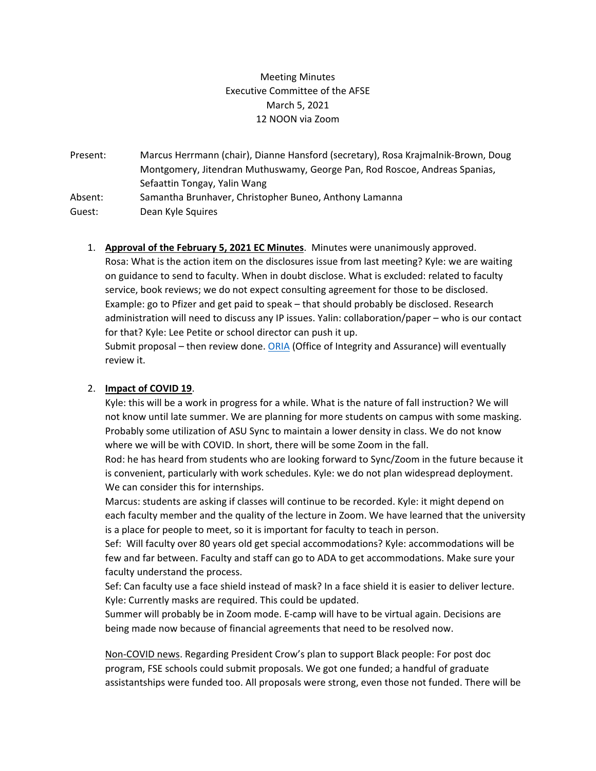## Meeting Minutes Executive Committee of the AFSE March 5, 2021 12 NOON via Zoom

Present: Marcus Herrmann (chair), Dianne Hansford (secretary), Rosa Krajmalnik-Brown, Doug Montgomery, Jitendran Muthuswamy, George Pan, Rod Roscoe, Andreas Spanias, Sefaattin Tongay, Yalin Wang Absent: Samantha Brunhaver, Christopher Buneo, Anthony Lamanna Guest: Dean Kyle Squires

1. **Approval of the February 5, 2021 EC Minutes**. Minutes were unanimously approved. Rosa: What is the action item on the disclosures issue from last meeting? Kyle: we are waiting on guidance to send to faculty. When in doubt disclose. What is excluded: related to faculty service, book reviews; we do not expect consulting agreement for those to be disclosed. Example: go to Pfizer and get paid to speak – that should probably be disclosed. Research administration will need to discuss any IP issues. Yalin: collaboration/paper – who is our contact for that? Kyle: Lee Petite or school director can push it up.

Submit proposal – then review done. [ORIA](https://researchintegrity.asu.edu/) (Office of Integrity and Assurance) will eventually review it.

## 2. **Impact of COVID 19**.

Kyle: this will be a work in progress for a while. What is the nature of fall instruction? We will not know until late summer. We are planning for more students on campus with some masking. Probably some utilization of ASU Sync to maintain a lower density in class. We do not know where we will be with COVID. In short, there will be some Zoom in the fall.

Rod: he has heard from students who are looking forward to Sync/Zoom in the future because it is convenient, particularly with work schedules. Kyle: we do not plan widespread deployment. We can consider this for internships.

Marcus: students are asking if classes will continue to be recorded. Kyle: it might depend on each faculty member and the quality of the lecture in Zoom. We have learned that the university is a place for people to meet, so it is important for faculty to teach in person.

Sef: Will faculty over 80 years old get special accommodations? Kyle: accommodations will be few and far between. Faculty and staff can go to ADA to get accommodations. Make sure your faculty understand the process.

Sef: Can faculty use a face shield instead of mask? In a face shield it is easier to deliver lecture. Kyle: Currently masks are required. This could be updated.

Summer will probably be in Zoom mode. E-camp will have to be virtual again. Decisions are being made now because of financial agreements that need to be resolved now.

Non-COVID news. Regarding President Crow's plan to support Black people: For post doc program, FSE schools could submit proposals. We got one funded; a handful of graduate assistantships were funded too. All proposals were strong, even those not funded. There will be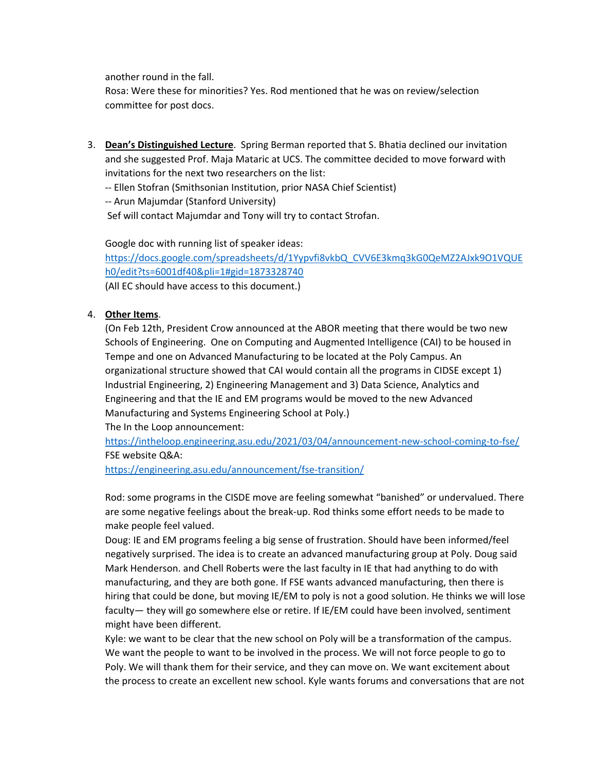another round in the fall.

Rosa: Were these for minorities? Yes. Rod mentioned that he was on review/selection committee for post docs.

3. **Dean's Distinguished Lecture**. Spring Berman reported that S. Bhatia declined our invitation and she suggested Prof. Maja Mataric at UCS. The committee decided to move forward with invitations for the next two researchers on the list:

-- Ellen Stofran (Smithsonian Institution, prior NASA Chief Scientist)

-- Arun Majumdar (Stanford University)

Sef will contact Majumdar and Tony will try to contact Strofan.

Google doc with running list of speaker ideas: [https://docs.google.com/spreadsheets/d/1Yypvfi8vkbQ\\_CVV6E3kmq3kG0QeMZ2AJxk9O1VQUE](https://docs.google.com/spreadsheets/d/1Yypvfi8vkbQ_CVV6E3kmq3kG0QeMZ2AJxk9O1VQUEh0/edit?ts=6001df40&pli=1#gid=1873328740) [h0/edit?ts=6001df40&pli=1#gid=1873328740](https://docs.google.com/spreadsheets/d/1Yypvfi8vkbQ_CVV6E3kmq3kG0QeMZ2AJxk9O1VQUEh0/edit?ts=6001df40&pli=1#gid=1873328740) (All EC should have access to this document.)

## 4. **Other Items**.

(On Feb 12th, President Crow announced at the ABOR meeting that there would be two new Schools of Engineering. One on Computing and Augmented Intelligence (CAI) to be housed in Tempe and one on Advanced Manufacturing to be located at the Poly Campus. An organizational structure showed that CAI would contain all the programs in CIDSE except 1) Industrial Engineering, 2) Engineering Management and 3) Data Science, Analytics and Engineering and that the IE and EM programs would be moved to the new Advanced Manufacturing and Systems Engineering School at Poly.)

The In the Loop announcement:

<https://intheloop.engineering.asu.edu/2021/03/04/announcement-new-school-coming-to-fse/> FSE website Q&A:

<https://engineering.asu.edu/announcement/fse-transition/>

Rod: some programs in the CISDE move are feeling somewhat "banished" or undervalued. There are some negative feelings about the break-up. Rod thinks some effort needs to be made to make people feel valued.

Doug: IE and EM programs feeling a big sense of frustration. Should have been informed/feel negatively surprised. The idea is to create an advanced manufacturing group at Poly. Doug said Mark Henderson. and Chell Roberts were the last faculty in IE that had anything to do with manufacturing, and they are both gone. If FSE wants advanced manufacturing, then there is hiring that could be done, but moving IE/EM to poly is not a good solution. He thinks we will lose faculty— they will go somewhere else or retire. If IE/EM could have been involved, sentiment might have been different.

Kyle: we want to be clear that the new school on Poly will be a transformation of the campus. We want the people to want to be involved in the process. We will not force people to go to Poly. We will thank them for their service, and they can move on. We want excitement about the process to create an excellent new school. Kyle wants forums and conversations that are not